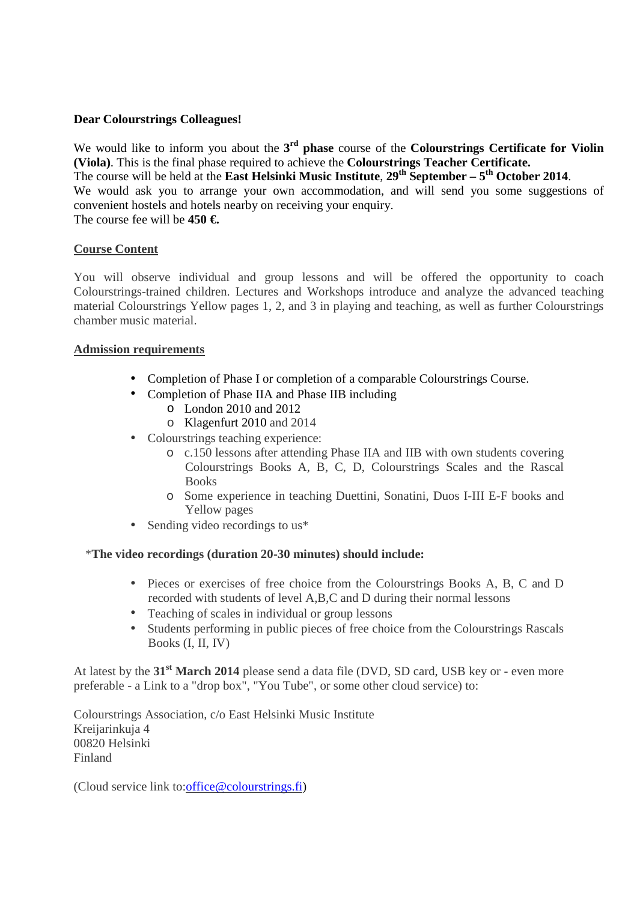### **Dear Colourstrings Colleagues!**

We would like to inform you about the **3 rd phase** course of the **Colourstrings Certificate for Violin (Viola)**. This is the final phase required to achieve the **Colourstrings Teacher Certificate.** The course will be held at the **East Helsinki Music Institute**,  $29^{th}$  September –  $5^{th}$  October 2014. We would ask you to arrange your own accommodation, and will send you some suggestions of convenient hostels and hotels nearby on receiving your enquiry. The course fee will be **450 €.**

## **Course Content**

You will observe individual and group lessons and will be offered the opportunity to coach Colourstrings-trained children. Lectures and Workshops introduce and analyze the advanced teaching material Colourstrings Yellow pages 1, 2, and 3 in playing and teaching, as well as further Colourstrings chamber music material.

## **Admission requirements**

- Completion of Phase I or completion of a comparable Colourstrings Course.
- Completion of Phase IIA and Phase IIB including
	- o London 2010 and 2012
	- o Klagenfurt 2010 and 2014
- Colourstrings teaching experience:
	- o c.150 lessons after attending Phase IIA and IIB with own students covering Colourstrings Books A, B, C, D, Colourstrings Scales and the Rascal **Books**
	- o Some experience in teaching Duettini, Sonatini, Duos I-III E-F books and Yellow pages
- Sending video recordings to us\*

## \***The video recordings (duration 20-30 minutes) should include:**

- Pieces or exercises of free choice from the Colourstrings Books A, B, C and D recorded with students of level A,B,C and D during their normal lessons
- Teaching of scales in individual or group lessons
- Students performing in public pieces of free choice from the Colourstrings Rascals Books (I, II, IV)

At latest by the **31st March 2014** please send a data file (DVD, SD card, USB key or - even more preferable - a Link to a "drop box", "You Tube", or some other cloud service) to:

Colourstrings Association, c/o East Helsinki Music Institute Kreijarinkuja 4 00820 Helsinki Finland

(Cloud service link to:office@colourstrings.fi)